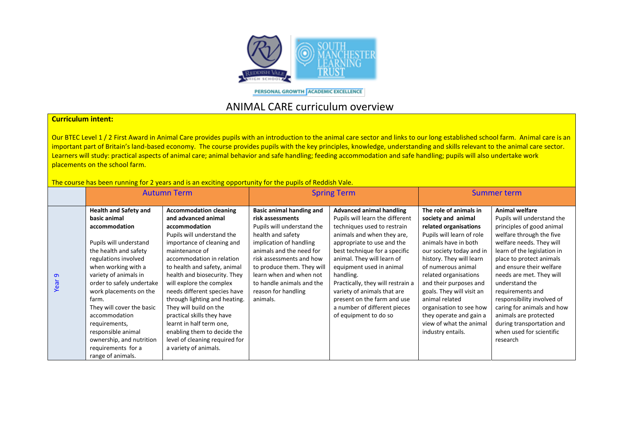

PERSONAL GROWTH ACADEMIC EXCELLENCE

## ANIMAL CARE curriculum overview

## **Curriculum intent:**

Our BTEC Level 1 / 2 First Award in Animal Care provides pupils with an introduction to the animal care sector and links to our long established school farm. Animal care is an important part of Britain's land-based economy. The course provides pupils with the key principles, knowledge, understanding and skills relevant to the animal care sector. Learners will study: practical aspects of animal care; animal behavior and safe handling; feeding accommodation and safe handling; pupils will also undertake work placements on the school farm.

The course has been running for 2 years and is an exciting opportunity for the pupils of Reddish Vale.

|           | <b>Autumn Term</b>                                                                                                                                                                                                                                                                                                                                                                                                   |                                                                                                                                                                                                                                                                                                                                                                                                                                                                                                                             | <b>Spring Term</b>                                                                                                                                                                                                                                                                                          |                                                                                                                                                                                                                                                                                                                                                                                                                                   | Summer term                                                                                                                                                                                                                                                                                                                                                                                                      |                                                                                                                                                                                                                                                                                                                                                                                                                                                      |
|-----------|----------------------------------------------------------------------------------------------------------------------------------------------------------------------------------------------------------------------------------------------------------------------------------------------------------------------------------------------------------------------------------------------------------------------|-----------------------------------------------------------------------------------------------------------------------------------------------------------------------------------------------------------------------------------------------------------------------------------------------------------------------------------------------------------------------------------------------------------------------------------------------------------------------------------------------------------------------------|-------------------------------------------------------------------------------------------------------------------------------------------------------------------------------------------------------------------------------------------------------------------------------------------------------------|-----------------------------------------------------------------------------------------------------------------------------------------------------------------------------------------------------------------------------------------------------------------------------------------------------------------------------------------------------------------------------------------------------------------------------------|------------------------------------------------------------------------------------------------------------------------------------------------------------------------------------------------------------------------------------------------------------------------------------------------------------------------------------------------------------------------------------------------------------------|------------------------------------------------------------------------------------------------------------------------------------------------------------------------------------------------------------------------------------------------------------------------------------------------------------------------------------------------------------------------------------------------------------------------------------------------------|
| മ<br>Year | <b>Health and Safety and</b><br>basic animal<br>accommodation<br>Pupils will understand<br>the health and safety<br>regulations involved<br>when working with a<br>variety of animals in<br>order to safely undertake<br>work placements on the<br>farm.<br>They will cover the basic<br>accommodation<br>requirements,<br>responsible animal<br>ownership, and nutrition<br>requirements for a<br>range of animals. | <b>Accommodation cleaning</b><br>and advanced animal<br>accommodation<br>Pupils will understand the<br>importance of cleaning and<br>maintenance of<br>accommodation in relation<br>to health and safety, animal<br>health and biosecurity. They<br>will explore the complex<br>needs different species have<br>through lighting and heating.<br>They will build on the<br>practical skills they have<br>learnt in half term one,<br>enabling them to decide the<br>level of cleaning required for<br>a variety of animals. | Basic animal handing and<br>risk assessments<br>Pupils will understand the<br>health and safety<br>implication of handling<br>animals and the need for<br>risk assessments and how<br>to produce them. They will<br>learn when and when not<br>to handle animals and the<br>reason for handling<br>animals. | <b>Advanced animal handling</b><br>Pupils will learn the different<br>techniques used to restrain<br>animals and when they are,<br>appropriate to use and the<br>best technique for a specific<br>animal. They will learn of<br>equipment used in animal<br>handling.<br>Practically, they will restrain a<br>variety of animals that are<br>present on the farm and use<br>a number of different pieces<br>of equipment to do so | The role of animals in<br>society and animal<br>related organisations<br>Pupils will learn of role<br>animals have in both<br>our society today and in<br>history. They will learn<br>of numerous animal<br>related organisations<br>and their purposes and<br>goals. They will visit an<br>animal related<br>organisation to see how<br>they operate and gain a<br>view of what the animal<br>industry entails. | Animal welfare<br>Pupils will understand the<br>principles of good animal<br>welfare through the five<br>welfare needs. They will<br>learn of the legislation in<br>place to protect animals<br>and ensure their welfare<br>needs are met. They will<br>understand the<br>requirements and<br>responsibility involved of<br>caring for animals and how<br>animals are protected<br>during transportation and<br>when used for scientific<br>research |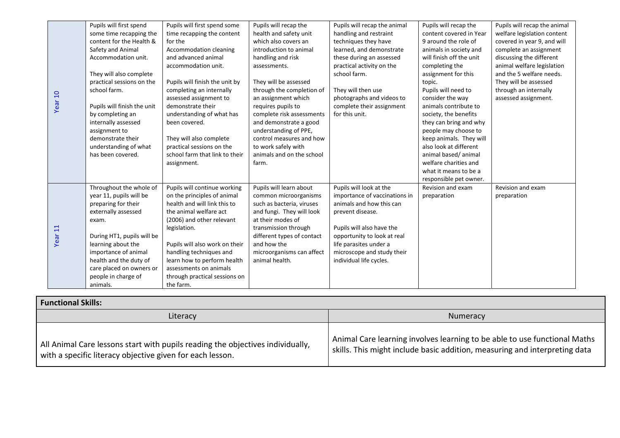|                    | Pupils will first spend     | Pupils will first spend some   | Pupils will recap the      | Pupils will recap the animal  | Pupils will recap the    | Pupils will recap the animal |
|--------------------|-----------------------------|--------------------------------|----------------------------|-------------------------------|--------------------------|------------------------------|
|                    | some time recapping the     | time recapping the content     | health and safety unit     | handling and restraint        | content covered in Year  | welfare legislation content  |
|                    | content for the Health &    | for the                        | which also covers an       | techniques they have          | 9 around the role of     | covered in year 9, and will  |
|                    | Safety and Animal           | Accommodation cleaning         | introduction to animal     | learned, and demonstrate      | animals in society and   | complete an assignment       |
|                    | Accommodation unit.         | and advanced animal            | handling and risk          | these during an assessed      | will finish off the unit | discussing the different     |
|                    |                             | accommodation unit.            | assessments.               | practical activity on the     | completing the           | animal welfare legislation   |
|                    | They will also complete     |                                |                            | school farm.                  | assignment for this      | and the 5 welfare needs.     |
|                    | practical sessions on the   | Pupils will finish the unit by | They will be assessed      |                               | topic.                   | They will be assessed        |
|                    | school farm.                | completing an internally       | through the completion of  | They will then use            | Pupils will need to      | through an internally        |
|                    |                             | assessed assignment to         | an assignment which        | photographs and videos to     | consider the way         | assessed assignment.         |
| Year <sub>10</sub> | Pupils will finish the unit | demonstrate their              | requires pupils to         | complete their assignment     | animals contribute to    |                              |
|                    | by completing an            | understanding of what has      | complete risk assessments  | for this unit.                | society, the benefits    |                              |
|                    | internally assessed         | been covered.                  | and demonstrate a good     |                               | they can bring and why   |                              |
|                    | assignment to               |                                | understanding of PPE,      |                               | people may choose to     |                              |
|                    | demonstrate their           | They will also complete        | control measures and how   |                               | keep animals. They will  |                              |
|                    | understanding of what       | practical sessions on the      | to work safely with        |                               | also look at different   |                              |
|                    | has been covered.           | school farm that link to their | animals and on the school  |                               | animal based/animal      |                              |
|                    |                             | assignment.                    | farm.                      |                               | welfare charities and    |                              |
|                    |                             |                                |                            |                               | what it means to be a    |                              |
|                    |                             |                                |                            |                               | responsible pet owner.   |                              |
|                    | Throughout the whole of     | Pupils will continue working   | Pupils will learn about    | Pupils will look at the       | Revision and exam        | Revision and exam            |
|                    | year 11, pupils will be     | on the principles of animal    | common microorganisms      | importance of vaccinations in | preparation              | preparation                  |
|                    | preparing for their         | health and will link this to   | such as bacteria, viruses  | animals and how this can      |                          |                              |
|                    | externally assessed         | the animal welfare act         | and fungi. They will look  | prevent disease.              |                          |                              |
| Year <sub>11</sub> | exam.                       | (2006) and other relevant      | at their modes of          |                               |                          |                              |
|                    |                             | legislation.                   | transmission through       | Pupils will also have the     |                          |                              |
|                    | During HT1, pupils will be  |                                | different types of contact | opportunity to look at real   |                          |                              |
|                    | learning about the          | Pupils will also work on their | and how the                | life parasites under a        |                          |                              |
|                    | importance of animal        | handling techniques and        | microorganisms can affect  | microscope and study their    |                          |                              |
|                    | health and the duty of      | learn how to perform health    | animal health.             | individual life cycles.       |                          |                              |
|                    | care placed on owners or    | assessments on animals         |                            |                               |                          |                              |
|                    | people in charge of         | through practical sessions on  |                            |                               |                          |                              |
|                    | animals.                    | the farm.                      |                            |                               |                          |                              |

| <b>Functional Skills:</b>                                                                                                                   |                                                                                                                                                         |  |  |  |
|---------------------------------------------------------------------------------------------------------------------------------------------|---------------------------------------------------------------------------------------------------------------------------------------------------------|--|--|--|
| Literacy                                                                                                                                    | Numeracy                                                                                                                                                |  |  |  |
| All Animal Care lessons start with pupils reading the objectives individually,<br>with a specific literacy objective given for each lesson. | Animal Care learning involves learning to be able to use functional Maths<br>skills. This might include basic addition, measuring and interpreting data |  |  |  |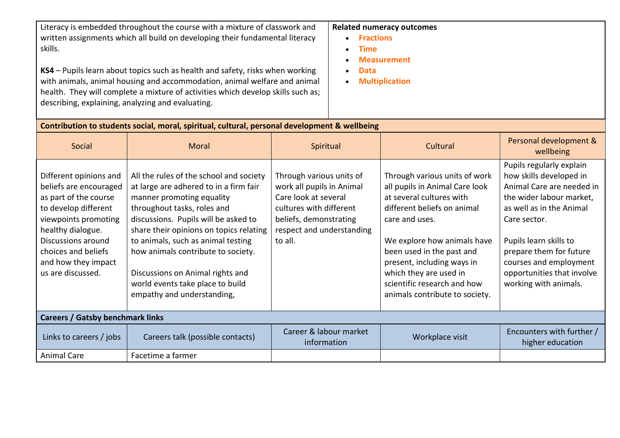Literacy is embedded throughout the course with a mixture of classwork and written assignments which all build on developing their fundamental literacy skills.

**KS4** – Pupils learn about topics such as health and safety, risks when working with animals, animal housing and accommodation, animal welfare and animal health. They will complete a mixture of activities which develop skills such as; describing, explaining, analyzing and evaluating.

## **Related numeracy outcomes**

- **Fractions**
- **Time**
- **Measurement**
- **Data**
- **Multiplication**

| Contribution to students social, moral, spiritual, cultural, personal development & wellbeing                                                                                                                                           |                                                                                                                                                                                                                                                                                                                                                                                                                    |                                                                                                                                                                            |                                                                                                                                                                                                                                                                                                                                   |                                                                                                                                                                                                                                                                                                |  |  |
|-----------------------------------------------------------------------------------------------------------------------------------------------------------------------------------------------------------------------------------------|--------------------------------------------------------------------------------------------------------------------------------------------------------------------------------------------------------------------------------------------------------------------------------------------------------------------------------------------------------------------------------------------------------------------|----------------------------------------------------------------------------------------------------------------------------------------------------------------------------|-----------------------------------------------------------------------------------------------------------------------------------------------------------------------------------------------------------------------------------------------------------------------------------------------------------------------------------|------------------------------------------------------------------------------------------------------------------------------------------------------------------------------------------------------------------------------------------------------------------------------------------------|--|--|
| Social                                                                                                                                                                                                                                  | Moral                                                                                                                                                                                                                                                                                                                                                                                                              | Spiritual                                                                                                                                                                  | Cultural                                                                                                                                                                                                                                                                                                                          | Personal development &<br>wellbeing                                                                                                                                                                                                                                                            |  |  |
| Different opinions and<br>beliefs are encouraged<br>as part of the course<br>to develop different<br>viewpoints promoting<br>healthy dialogue.<br>Discussions around<br>choices and beliefs<br>and how they impact<br>us are discussed. | All the rules of the school and society<br>at large are adhered to in a firm fair<br>manner promoting equality<br>throughout tasks, roles and<br>discussions. Pupils will be asked to<br>share their opinions on topics relating<br>to animals, such as animal testing<br>how animals contribute to society.<br>Discussions on Animal rights and<br>world events take place to build<br>empathy and understanding, | Through various units of<br>work all pupils in Animal<br>Care look at several<br>cultures with different<br>beliefs, demonstrating<br>respect and understanding<br>to all. | Through various units of work<br>all pupils in Animal Care look<br>at several cultures with<br>different beliefs on animal<br>care and uses.<br>We explore how animals have<br>been used in the past and<br>present, including ways in<br>which they are used in<br>scientific research and how<br>animals contribute to society. | Pupils regularly explain<br>how skills developed in<br>Animal Care are needed in<br>the wider labour market,<br>as well as in the Animal<br>Care sector.<br>Pupils learn skills to<br>prepare them for future<br>courses and employment<br>opportunities that involve<br>working with animals. |  |  |
| <b>Careers / Gatsby benchmark links</b>                                                                                                                                                                                                 |                                                                                                                                                                                                                                                                                                                                                                                                                    |                                                                                                                                                                            |                                                                                                                                                                                                                                                                                                                                   |                                                                                                                                                                                                                                                                                                |  |  |
| Links to careers / jobs                                                                                                                                                                                                                 | Careers talk (possible contacts)                                                                                                                                                                                                                                                                                                                                                                                   | Career & labour market<br>information                                                                                                                                      | Workplace visit                                                                                                                                                                                                                                                                                                                   | Encounters with further /<br>higher education                                                                                                                                                                                                                                                  |  |  |
| <b>Animal Care</b>                                                                                                                                                                                                                      | Facetime a farmer                                                                                                                                                                                                                                                                                                                                                                                                  |                                                                                                                                                                            |                                                                                                                                                                                                                                                                                                                                   |                                                                                                                                                                                                                                                                                                |  |  |